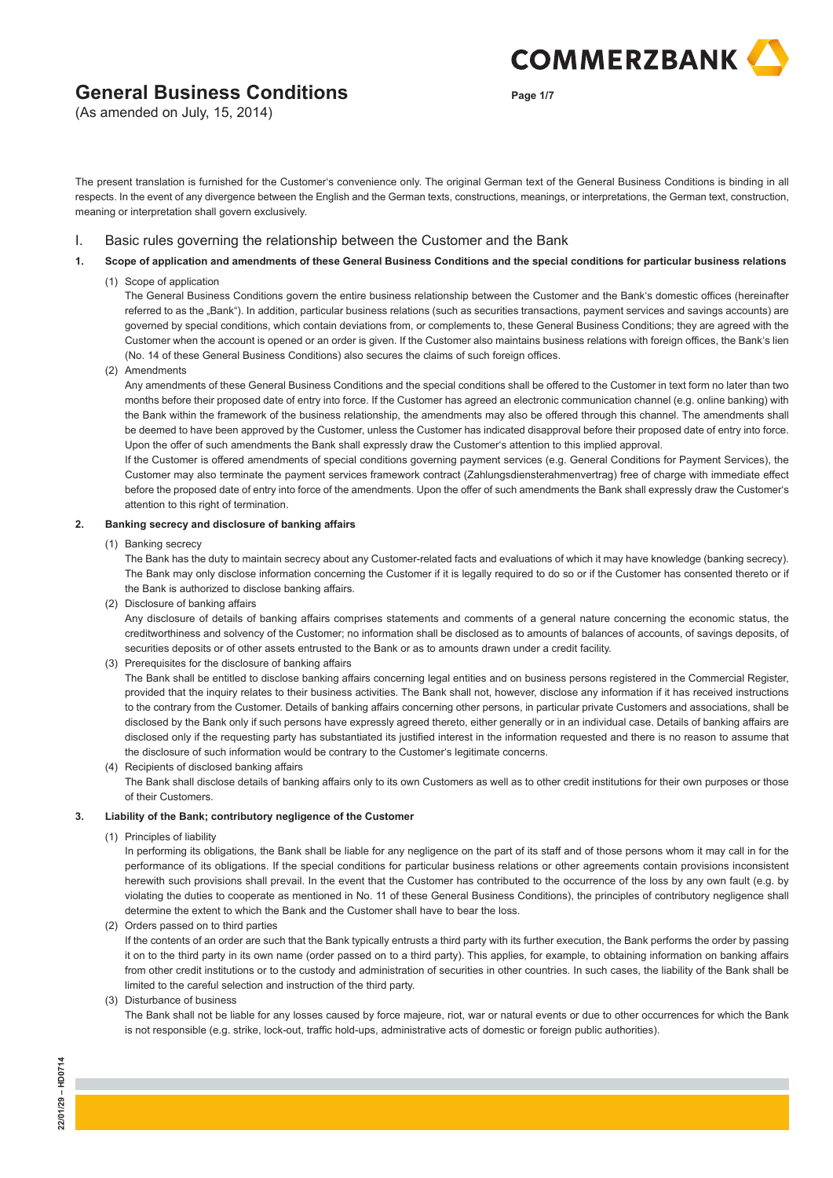(As amended on July, 15, 2014)

**Page 1/7**

**COMMERZBANK** 

The present translation is furnished for the Customer's convenience only. The original German text of the General Business Conditions is binding in all respects. In the event of any divergence between the English and the German texts, constructions, meanings, or interpretations, the German text, construction, meaning or interpretation shall govern exclusively.

## I. Basic rules governing the relationship between the Customer and the Bank

**1. Scope of application and amendments of these General Business Conditions and the special conditions for particular business relations**

### (1) Scope of application

 The General Business Conditions govern the entire business relationship between the Customer and the Bank's domestic offices (hereinafter referred to as the "Bank"). In addition, particular business relations (such as securities transactions, payment services and savings accounts) are governed by special conditions, which contain deviations from, or complements to, these General Business Conditions; they are agreed with the Customer when the account is opened or an order is given. If the Customer also maintains business relations with foreign offices, the Bank's lien (No. 14 of these General Business Conditions) also secures the claims of such foreign offices.

(2) Amendments

 Any amendments of these General Business Conditions and the special conditions shall be offered to the Customer in text form no later than two months before their proposed date of entry into force. If the Customer has agreed an electronic communication channel (e.g. online banking) with the Bank within the framework of the business relationship, the amendments may also be offered through this channel. The amendments shall be deemed to have been approved by the Customer, unless the Customer has indicated disapproval before their proposed date of entry into force. Upon the offer of such amendments the Bank shall expressly draw the Customer's attention to this implied approval.

 If the Customer is offered amendments of special conditions governing payment services (e.g. General Conditions for Payment Services), the Customer may also terminate the payment services framework contract (Zahlungsdiensterahmenvertrag) free of charge with immediate effect before the proposed date of entry into force of the amendments. Upon the offer of such amendments the Bank shall expressly draw the Customer's attention to this right of termination.

#### **2. Banking secrecy and disclosure of banking affairs**

(1) Banking secrecy

 The Bank has the duty to maintain secrecy about any Customer-related facts and evaluations of which it may have knowledge (banking secrecy). The Bank may only disclose information concerning the Customer if it is legally required to do so or if the Customer has consented thereto or if the Bank is authorized to disclose banking affairs.

(2) Disclosure of banking affairs

 Any disclosure of details of banking affairs comprises statements and comments of a general nature concerning the economic status, the creditworthiness and solvency of the Customer; no information shall be disclosed as to amounts of balances of accounts, of savings deposits, of securities deposits or of other assets entrusted to the Bank or as to amounts drawn under a credit facility.

(3) Prerequisites for the disclosure of banking affairs

 The Bank shall be entitled to disclose banking affairs concerning legal entities and on business persons registered in the Commercial Register, provided that the inquiry relates to their business activities. The Bank shall not, however, disclose any information if it has received instructions to the contrary from the Customer. Details of banking affairs concerning other persons, in particular private Customers and associations, shall be disclosed by the Bank only if such persons have expressly agreed thereto, either generally or in an individual case. Details of banking affairs are disclosed only if the requesting party has substantiated its justified interest in the information requested and there is no reason to assume that the disclosure of such information would be contrary to the Customer's legitimate concerns.

 (4) Recipients of disclosed banking affairs The Bank shall disclose details of banking affairs only to its own Customers as well as to other credit institutions for their own purposes or those of their Customers.

## **3. Liability of the Bank; contributory negligence of the Customer**

(1) Principles of liability

 In performing its obligations, the Bank shall be liable for any negligence on the part of its staff and of those persons whom it may call in for the performance of its obligations. If the special conditions for particular business relations or other agreements contain provisions inconsistent herewith such provisions shall prevail. In the event that the Customer has contributed to the occurrence of the loss by any own fault (e.g. by violating the duties to cooperate as mentioned in No. 11 of these General Business Conditions), the principles of contributory negligence shall determine the extent to which the Bank and the Customer shall have to bear the loss.

(2) Orders passed on to third parties

 If the contents of an order are such that the Bank typically entrusts a third party with its further execution, the Bank performs the order by passing it on to the third party in its own name (order passed on to a third party). This applies, for example, to obtaining information on banking affairs from other credit institutions or to the custody and administration of securities in other countries. In such cases, the liability of the Bank shall be limited to the careful selection and instruction of the third party.

(3) Disturbance of business

 The Bank shall not be liable for any losses caused by force majeure, riot, war or natural events or due to other occurrences for which the Bank is not responsible (e.g. strike, lock-out, traffic hold-ups, administrative acts of domestic or foreign public authorities).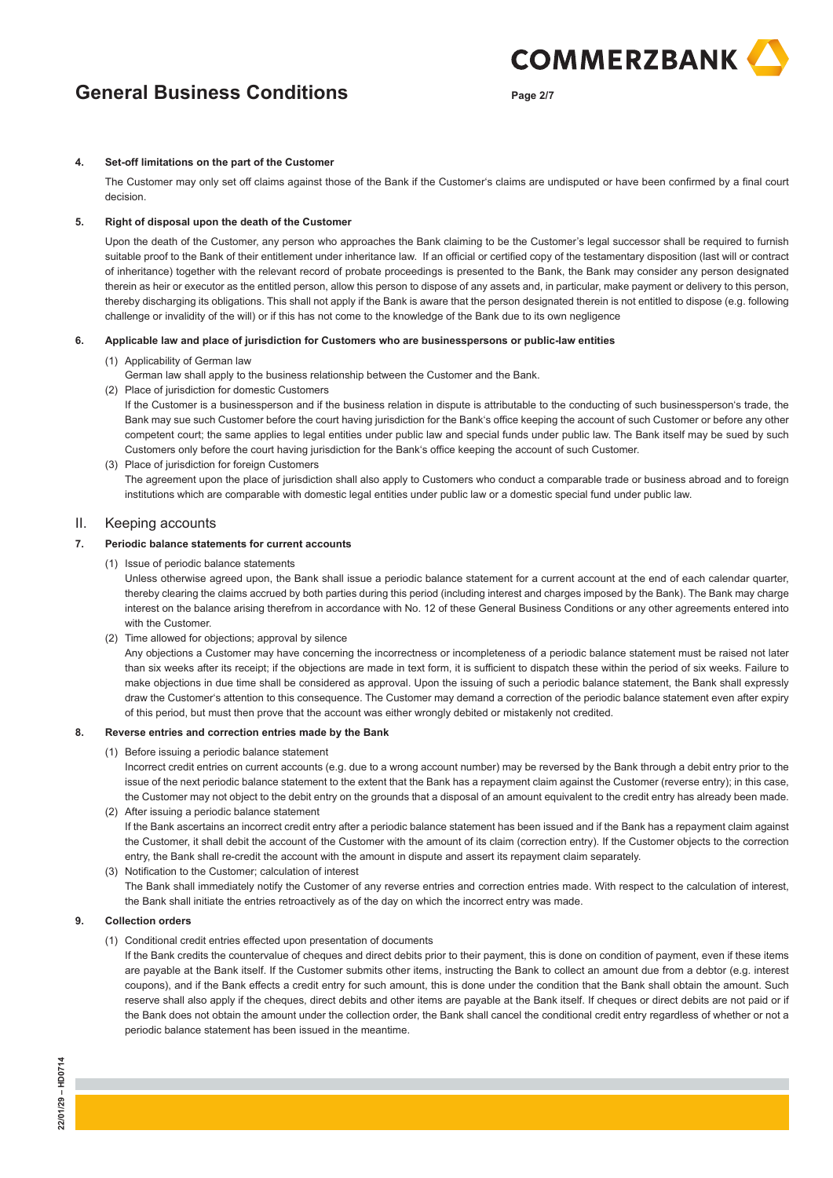**Page 2/7**

**COMMERZBANK** 

#### **4. Set-off limitations on the part of the Customer**

 The Customer may only set off claims against those of the Bank if the Customer's claims are undisputed or have been confirmed by a final court decision.

#### **5. Right of disposal upon the death of the Customer**

 Upon the death of the Customer, any person who approaches the Bank claiming to be the Customer's legal successor shall be required to furnish suitable proof to the Bank of their entitlement under inheritance law. If an official or certified copy of the testamentary disposition (last will or contract of inheritance) together with the relevant record of probate proceedings is presented to the Bank, the Bank may consider any person designated therein as heir or executor as the entitled person, allow this person to dispose of any assets and, in particular, make payment or delivery to this person, thereby discharging its obligations. This shall not apply if the Bank is aware that the person designated therein is not entitled to dispose (e.g. following challenge or invalidity of the will) or if this has not come to the knowledge of the Bank due to its own negligence

#### **6. Applicable law and place of jurisdiction for Customers who are businesspersons or public-law entities**

- (1) Applicability of German law
	- German law shall apply to the business relationship between the Customer and the Bank.
- (2) Place of jurisdiction for domestic Customers

 If the Customer is a businessperson and if the business relation in dispute is attributable to the conducting of such businessperson's trade, the Bank may sue such Customer before the court having jurisdiction for the Bank's office keeping the account of such Customer or before any other competent court; the same applies to legal entities under public law and special funds under public law. The Bank itself may be sued by such Customers only before the court having jurisdiction for the Bank's office keeping the account of such Customer.

 (3) Place of jurisdiction for foreign Customers The agreement upon the place of jurisdiction shall also apply to Customers who conduct a comparable trade or business abroad and to foreign institutions which are comparable with domestic legal entities under public law or a domestic special fund under public law.

#### II. Keeping accounts

## **7. Periodic balance statements for current accounts**

(1) Issue of periodic balance statements

 Unless otherwise agreed upon, the Bank shall issue a periodic balance statement for a current account at the end of each calendar quarter, thereby clearing the claims accrued by both parties during this period (including interest and charges imposed by the Bank). The Bank may charge interest on the balance arising therefrom in accordance with No. 12 of these General Business Conditions or any other agreements entered into with the Customer.

(2) Time allowed for objections; approval by silence

 Any objections a Customer may have concerning the incorrectness or incompleteness of a periodic balance statement must be raised not later than six weeks after its receipt; if the objections are made in text form, it is sufficient to dispatch these within the period of six weeks. Failure to make objections in due time shall be considered as approval. Upon the issuing of such a periodic balance statement, the Bank shall expressly draw the Customer's attention to this consequence. The Customer may demand a correction of the periodic balance statement even after expiry of this period, but must then prove that the account was either wrongly debited or mistakenly not credited.

#### **8. Reverse entries and correction entries made by the Bank**

(1) Before issuing a periodic balance statement

 Incorrect credit entries on current accounts (e.g. due to a wrong account number) may be reversed by the Bank through a debit entry prior to the issue of the next periodic balance statement to the extent that the Bank has a repayment claim against the Customer (reverse entry); in this case, the Customer may not object to the debit entry on the grounds that a disposal of an amount equivalent to the credit entry has already been made. (2) After issuing a periodic balance statement

- If the Bank ascertains an incorrect credit entry after a periodic balance statement has been issued and if the Bank has a repayment claim against the Customer, it shall debit the account of the Customer with the amount of its claim (correction entry). If the Customer objects to the correction entry, the Bank shall re-credit the account with the amount in dispute and assert its repayment claim separately.
- (3) Notification to the Customer; calculation of interest The Bank shall immediately notify the Customer of any reverse entries and correction entries made. With respect to the calculation of interest, the Bank shall initiate the entries retroactively as of the day on which the incorrect entry was made.

#### **9. Collection orders**

(1) Conditional credit entries effected upon presentation of documents

 If the Bank credits the countervalue of cheques and direct debits prior to their payment, this is done on condition of payment, even if these items are payable at the Bank itself. If the Customer submits other items, instructing the Bank to collect an amount due from a debtor (e.g. interest coupons), and if the Bank effects a credit entry for such amount, this is done under the condition that the Bank shall obtain the amount. Such reserve shall also apply if the cheques, direct debits and other items are payable at the Bank itself. If cheques or direct debits are not paid or if the Bank does not obtain the amount under the collection order, the Bank shall cancel the conditional credit entry regardless of whether or not a periodic balance statement has been issued in the meantime.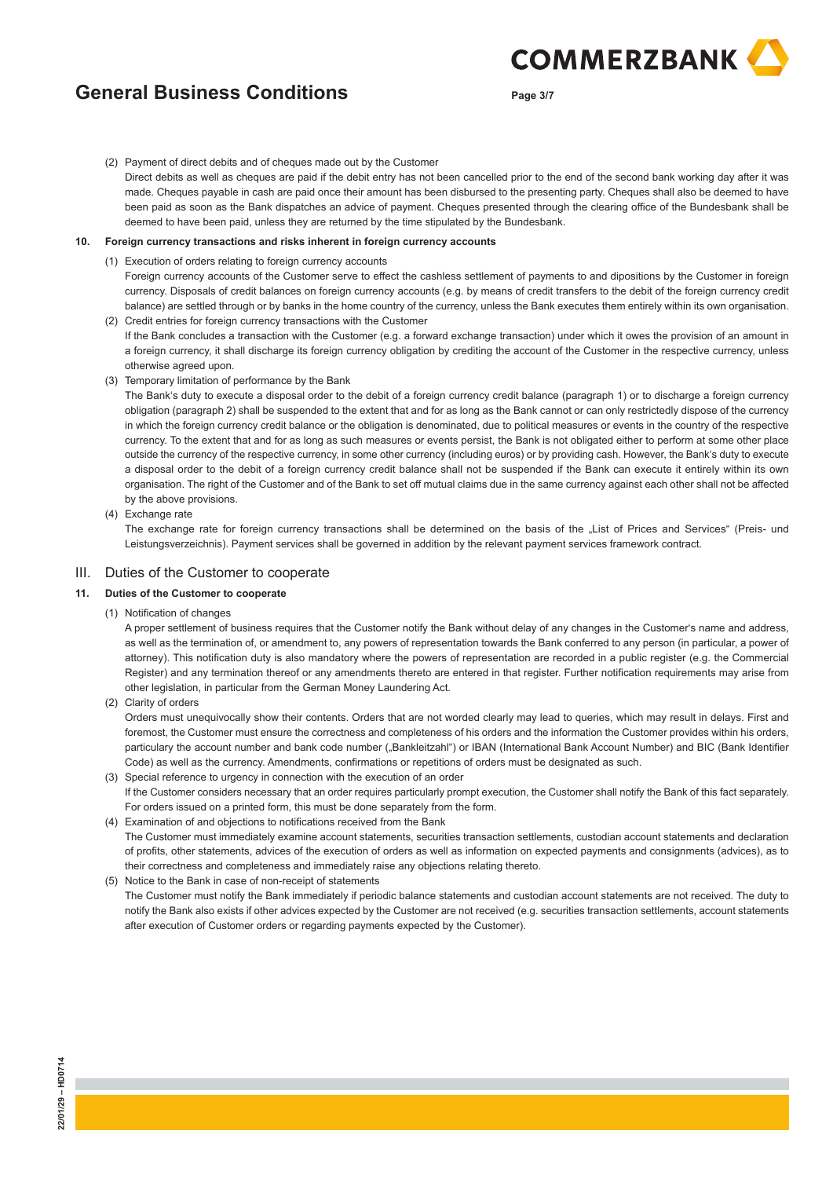**Page 3/7**

**COMMERZBANK** 

(2) Payment of direct debits and of cheques made out by the Customer

 Direct debits as well as cheques are paid if the debit entry has not been cancelled prior to the end of the second bank working day after it was made. Cheques payable in cash are paid once their amount has been disbursed to the presenting party. Cheques shall also be deemed to have been paid as soon as the Bank dispatches an advice of payment. Cheques presented through the clearing office of the Bundesbank shall be deemed to have been paid, unless they are returned by the time stipulated by the Bundesbank.

#### **10. Foreign currency transactions and risks inherent in foreign currency accounts**

- (1) Execution of orders relating to foreign currency accounts Foreign currency accounts of the Customer serve to effect the cashless settlement of payments to and dipositions by the Customer in foreign currency. Disposals of credit balances on foreign currency accounts (e.g. by means of credit transfers to the debit of the foreign currency credit balance) are settled through or by banks in the home country of the currency, unless the Bank executes them entirely within its own organisation. (2) Credit entries for foreign currency transactions with the Customer
- If the Bank concludes a transaction with the Customer (e.g. a forward exchange transaction) under which it owes the provision of an amount in a foreign currency, it shall discharge its foreign currency obligation by crediting the account of the Customer in the respective currency, unless otherwise agreed upon.
- (3) Temporary limitation of performance by the Bank

 The Bank's duty to execute a disposal order to the debit of a foreign currency credit balance (paragraph 1) or to discharge a foreign currency obligation (paragraph 2) shall be suspended to the extent that and for as long as the Bank cannot or can only restrictedly dispose of the currency in which the foreign currency credit balance or the obligation is denominated, due to political measures or events in the country of the respective currency. To the extent that and for as long as such measures or events persist, the Bank is not obligated either to perform at some other place outside the currency of the respective currency, in some other currency (including euros) or by providing cash. However, the Bank's duty to execute a disposal order to the debit of a foreign currency credit balance shall not be suspended if the Bank can execute it entirely within its own organisation. The right of the Customer and of the Bank to set off mutual claims due in the same currency against each other shall not be affected by the above provisions.

#### (4) Exchange rate

The exchange rate for foreign currency transactions shall be determined on the basis of the "List of Prices and Services" (Preis- und Leistungsverzeichnis). Payment services shall be governed in addition by the relevant payment services framework contract.

### III. Duties of the Customer to cooperate

## **11. Duties of the Customer to cooperate**

(1) Notification of changes

 A proper settlement of business requires that the Customer notify the Bank without delay of any changes in the Customer's name and address, as well as the termination of, or amendment to, any powers of representation towards the Bank conferred to any person (in particular, a power of attorney). This notification duty is also mandatory where the powers of representation are recorded in a public register (e.g. the Commercial Register) and any termination thereof or any amendments thereto are entered in that register. Further notification requirements may arise from other legislation, in particular from the German Money Laundering Act.

(2) Clarity of orders

 Orders must unequivocally show their contents. Orders that are not worded clearly may lead to queries, which may result in delays. First and foremost, the Customer must ensure the correctness and completeness of his orders and the information the Customer provides within his orders, particulary the account number and bank code number ("Bankleitzahl") or IBAN (International Bank Account Number) and BIC (Bank Identifier Code) as well as the currency. Amendments, confirmations or repetitions of orders must be designated as such.

- (3) Special reference to urgency in connection with the execution of an order If the Customer considers necessary that an order requires particularly prompt execution, the Customer shall notify the Bank of this fact separately. For orders issued on a printed form, this must be done separately from the form.
- (4) Examination of and objections to notifications received from the Bank The Customer must immediately examine account statements, securities transaction settlements, custodian account statements and declaration of profits, other statements, advices of the execution of orders as well as information on expected payments and consignments (advices), as to their correctness and completeness and immediately raise any objections relating thereto.

 (5) Notice to the Bank in case of non-receipt of statements The Customer must notify the Bank immediately if periodic balance statements and custodian account statements are not received. The duty to notify the Bank also exists if other advices expected by the Customer are not received (e.g. securities transaction settlements, account statements after execution of Customer orders or regarding payments expected by the Customer).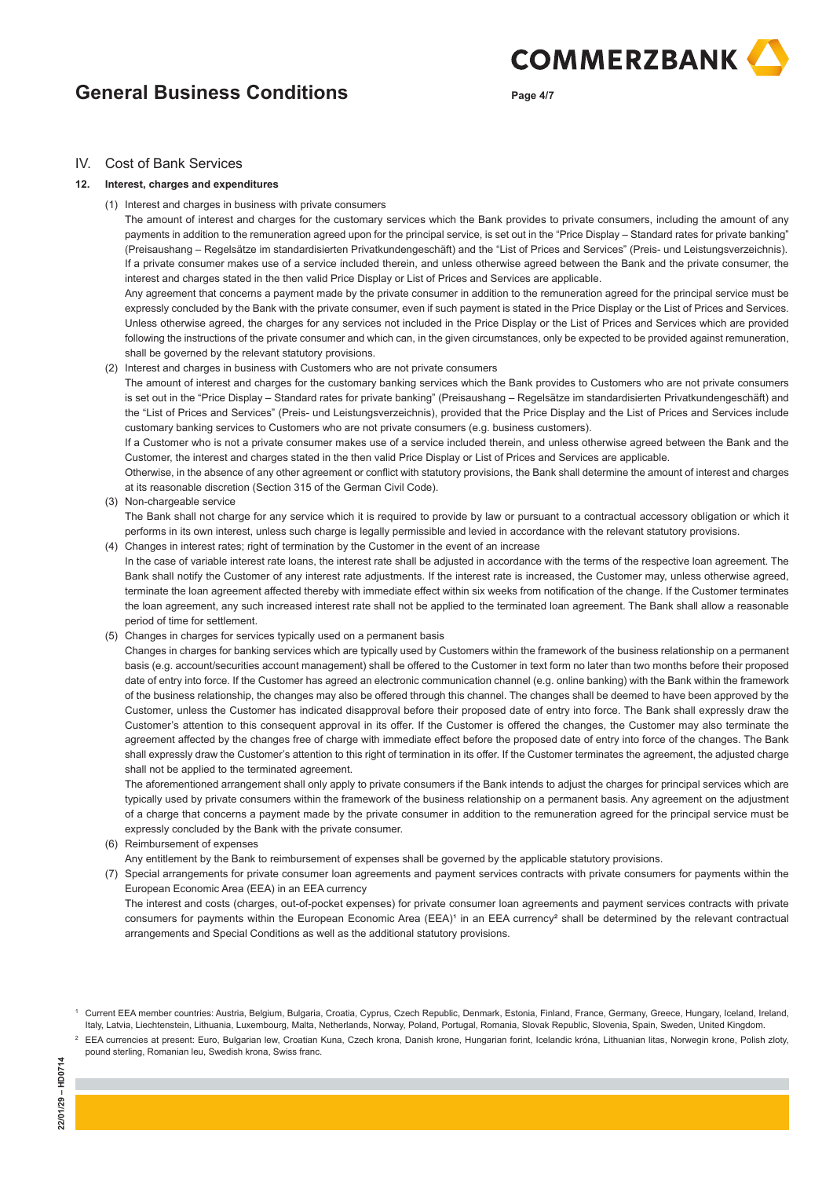**Page 4/7**

**COMMERZBANK** 

## IV. Cost of Bank Services

#### **12. Interest, charges and expenditures**

(1) Interest and charges in business with private consumers

 The amount of interest and charges for the customary services which the Bank provides to private consumers, including the amount of any payments in addition to the remuneration agreed upon for the principal service, is set out in the "Price Display – Standard rates for private banking" (Preisaushang – Regelsätze im standardisierten Privatkundengeschäft) and the "List of Prices and Services" (Preis- und Leistungsverzeichnis). If a private consumer makes use of a service included therein, and unless otherwise agreed between the Bank and the private consumer, the interest and charges stated in the then valid Price Display or List of Prices and Services are applicable.

 Any agreement that concerns a payment made by the private consumer in addition to the remuneration agreed for the principal service must be expressly concluded by the Bank with the private consumer, even if such payment is stated in the Price Display or the List of Prices and Services. Unless otherwise agreed, the charges for any services not included in the Price Display or the List of Prices and Services which are provided following the instructions of the private consumer and which can, in the given circumstances, only be expected to be provided against remuneration, shall be governed by the relevant statutory provisions.

(2) Interest and charges in business with Customers who are not private consumers

 The amount of interest and charges for the customary banking services which the Bank provides to Customers who are not private consumers is set out in the "Price Display – Standard rates for private banking" (Preisaushang – Regelsätze im standardisierten Privatkundengeschäft) and the "List of Prices and Services" (Preis- und Leistungsverzeichnis), provided that the Price Display and the List of Prices and Services include customary banking services to Customers who are not private consumers (e.g. business customers).

 If a Customer who is not a private consumer makes use of a service included therein, and unless otherwise agreed between the Bank and the Customer, the interest and charges stated in the then valid Price Display or List of Prices and Services are applicable.

 Otherwise, in the absence of any other agreement or conflict with statutory provisions, the Bank shall determine the amount of interest and charges at its reasonable discretion (Section 315 of the German Civil Code).

- (3) Non-chargeable service The Bank shall not charge for any service which it is required to provide by law or pursuant to a contractual accessory obligation or which it performs in its own interest, unless such charge is legally permissible and levied in accordance with the relevant statutory provisions.
- (4) Changes in interest rates; right of termination by the Customer in the event of an increase In the case of variable interest rate loans, the interest rate shall be adjusted in accordance with the terms of the respective loan agreement. The Bank shall notify the Customer of any interest rate adjustments. If the interest rate is increased, the Customer may, unless otherwise agreed, terminate the loan agreement affected thereby with immediate effect within six weeks from notification of the change. If the Customer terminates the loan agreement, any such increased interest rate shall not be applied to the terminated loan agreement. The Bank shall allow a reasonable period of time for settlement.
- (5) Changes in charges for services typically used on a permanent basis

 Changes in charges for banking services which are typically used by Customers within the framework of the business relationship on a permanent basis (e.g. account/securities account management) shall be offered to the Customer in text form no later than two months before their proposed date of entry into force. If the Customer has agreed an electronic communication channel (e.g. online banking) with the Bank within the framework of the business relationship, the changes may also be offered through this channel. The changes shall be deemed to have been approved by the Customer, unless the Customer has indicated disapproval before their proposed date of entry into force. The Bank shall expressly draw the Customer's attention to this consequent approval in its offer. If the Customer is offered the changes, the Customer may also terminate the agreement affected by the changes free of charge with immediate effect before the proposed date of entry into force of the changes. The Bank shall expressly draw the Customer's attention to this right of termination in its offer. If the Customer terminates the agreement, the adjusted charge shall not be applied to the terminated agreement.

 The aforementioned arrangement shall only apply to private consumers if the Bank intends to adjust the charges for principal services which are typically used by private consumers within the framework of the business relationship on a permanent basis. Any agreement on the adjustment of a charge that concerns a payment made by the private consumer in addition to the remuneration agreed for the principal service must be expressly concluded by the Bank with the private consumer.

(6) Reimbursement of expenses

Any entitlement by the Bank to reimbursement of expenses shall be governed by the applicable statutory provisions.

 (7) Special arrangements for private consumer loan agreements and payment services contracts with private consumers for payments within the European Economic Area (EEA) in an EEA currency

 The interest and costs (charges, out-of-pocket expenses) for private consumer loan agreements and payment services contracts with private consumers for payments within the European Economic Area (EEA)<sup>1</sup> in an EEA currency<sup>2</sup> shall be determined by the relevant contractual arrangements and Special Conditions as well as the additional statutory provisions.

<sup>1</sup> Current EEA member countries: Austria, Belgium, Bulgaria, Croatia, Cyprus, Czech Republic, Denmark, Estonia, Finland, France, Germany, Greece, Hungary, Iceland, Ireland, Italy, Latvia, Liechtenstein, Lithuania, Luxembourg, Malta, Netherlands, Norway, Poland, Portugal, Romania, Slovak Republic, Slovenia, Spain, Sweden, United Kingdom.

<sup>&</sup>lt;sup>2</sup> EEA currencies at present: Euro, Bulgarian lew, Croatian Kuna, Czech krona, Danish krone, Hungarian forint, Icelandic króna, Lithuanian litas, Norwegin krone, Polish zloty, pound sterling, Romanian leu, Swedish krona, Swiss franc.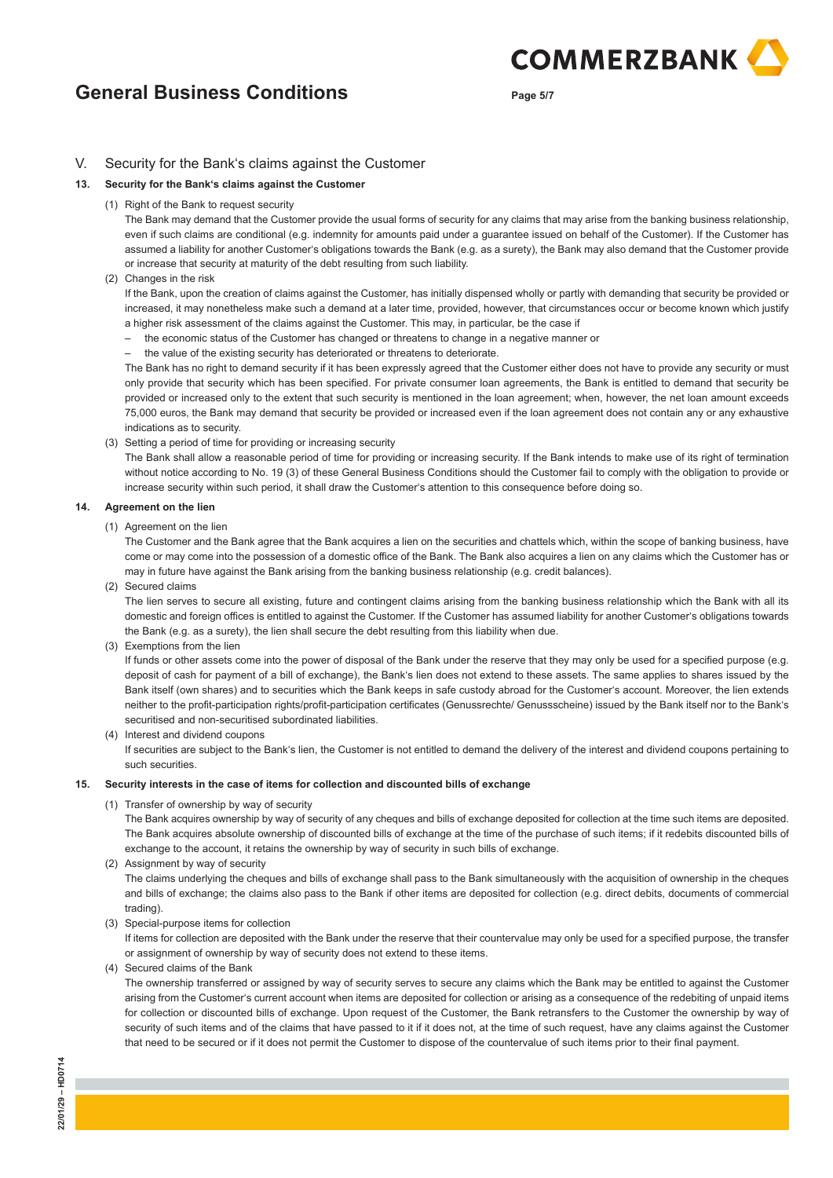**Page 5/7**

**COMMERZBANK** 

## V. Security for the Bank's claims against the Customer

### **13. Security for the Bank's claims against the Customer**

(1) Right of the Bank to request security

 The Bank may demand that the Customer provide the usual forms of security for any claims that may arise from the banking business relationship, even if such claims are conditional (e.g. indemnity for amounts paid under a guarantee issued on behalf of the Customer). If the Customer has assumed a liability for another Customer's obligations towards the Bank (e.g. as a surety), the Bank may also demand that the Customer provide or increase that security at maturity of the debt resulting from such liability.

(2) Changes in the risk

 If the Bank, upon the creation of claims against the Customer, has initially dispensed wholly or partly with demanding that security be provided or increased, it may nonetheless make such a demand at a later time, provided, however, that circumstances occur or become known which justify a higher risk assessment of the claims against the Customer. This may, in particular, be the case if

- the economic status of the Customer has changed or threatens to change in a negative manner or
- the value of the existing security has deteriorated or threatens to deteriorate.

 The Bank has no right to demand security if it has been expressly agreed that the Customer either does not have to provide any security or must only provide that security which has been specified. For private consumer loan agreements, the Bank is entitled to demand that security be provided or increased only to the extent that such security is mentioned in the loan agreement; when, however, the net loan amount exceeds 75,000 euros, the Bank may demand that security be provided or increased even if the loan agreement does not contain any or any exhaustive indications as to security.

(3) Setting a period of time for providing or increasing security

 The Bank shall allow a reasonable period of time for providing or increasing security. If the Bank intends to make use of its right of termination without notice according to No. 19 (3) of these General Business Conditions should the Customer fail to comply with the obligation to provide or increase security within such period, it shall draw the Customer's attention to this consequence before doing so.

#### **14. Agreement on the lien**

(1) Agreement on the lien

 The Customer and the Bank agree that the Bank acquires a lien on the securities and chattels which, within the scope of banking business, have come or may come into the possession of a domestic office of the Bank. The Bank also acquires a lien on any claims which the Customer has or may in future have against the Bank arising from the banking business relationship (e.g. credit balances).

(2) Secured claims

 The lien serves to secure all existing, future and contingent claims arising from the banking business relationship which the Bank with all its domestic and foreign offices is entitled to against the Customer. If the Customer has assumed liability for another Customer's obligations towards the Bank (e.g. as a surety), the lien shall secure the debt resulting from this liability when due.

(3) Exemptions from the lien

 If funds or other assets come into the power of disposal of the Bank under the reserve that they may only be used for a specified purpose (e.g. deposit of cash for payment of a bill of exchange), the Bank's lien does not extend to these assets. The same applies to shares issued by the Bank itself (own shares) and to securities which the Bank keeps in safe custody abroad for the Customer's account. Moreover, the lien extends neither to the profit-participation rights/profit-participation certificates (Genussrechte/ Genussscheine) issued by the Bank itself nor to the Bank's securitised and non-securitised subordinated liabilities.

(4) Interest and dividend coupons

 If securities are subject to the Bank's lien, the Customer is not entitled to demand the delivery of the interest and dividend coupons pertaining to such securities.

#### **15. Security interests in the case of items for collection and discounted bills of exchange**

(1) Transfer of ownership by way of security

 The Bank acquires ownership by way of security of any cheques and bills of exchange deposited for collection at the time such items are deposited. The Bank acquires absolute ownership of discounted bills of exchange at the time of the purchase of such items; if it redebits discounted bills of exchange to the account, it retains the ownership by way of security in such bills of exchange.

(2) Assignment by way of security

 The claims underlying the cheques and bills of exchange shall pass to the Bank simultaneously with the acquisition of ownership in the cheques and bills of exchange; the claims also pass to the Bank if other items are deposited for collection (e.g. direct debits, documents of commercial trading).

(3) Special-purpose items for collection

 If items for collection are deposited with the Bank under the reserve that their countervalue may only be used for a specified purpose, the transfer or assignment of ownership by way of security does not extend to these items.

(4) Secured claims of the Bank

 The ownership transferred or assigned by way of security serves to secure any claims which the Bank may be entitled to against the Customer arising from the Customer's current account when items are deposited for collection or arising as a consequence of the redebiting of unpaid items for collection or discounted bills of exchange. Upon request of the Customer, the Bank retransfers to the Customer the ownership by way of security of such items and of the claims that have passed to it if it does not, at the time of such request, have any claims against the Customer that need to be secured or if it does not permit the Customer to dispose of the countervalue of such items prior to their final payment.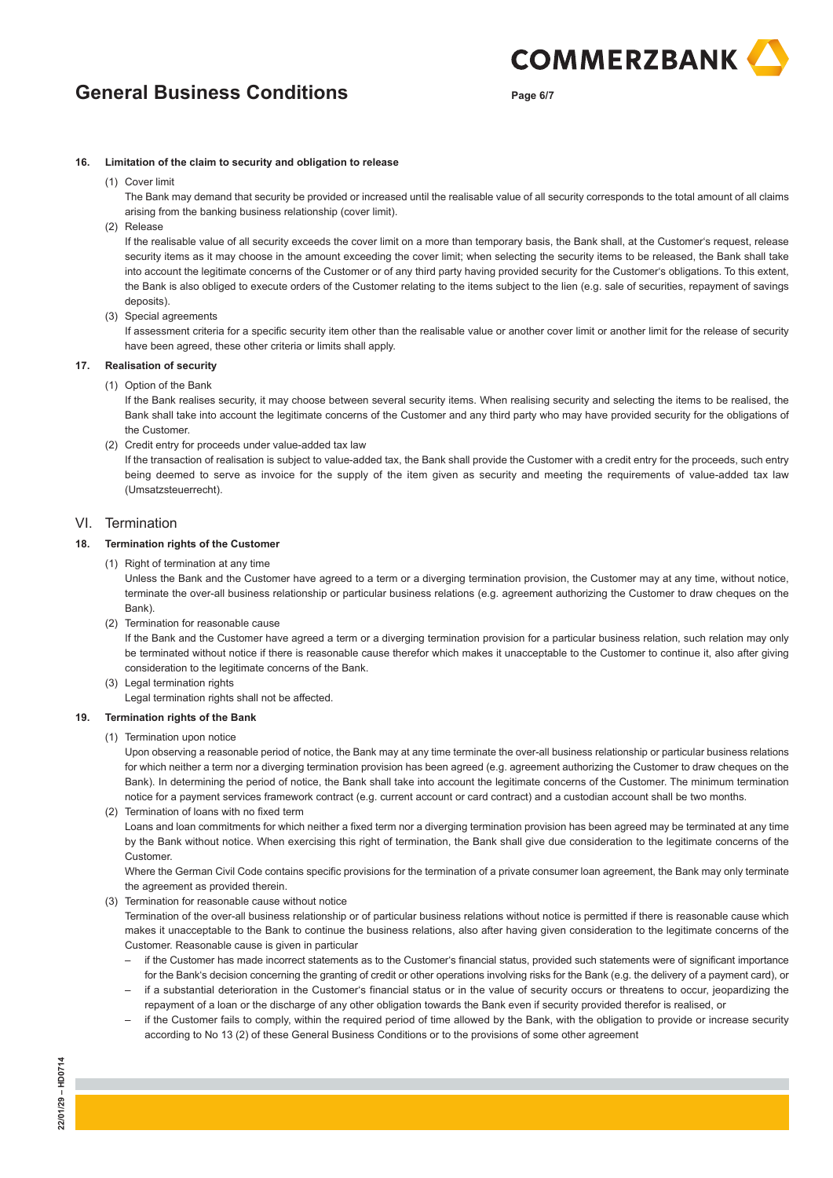**Page 6/7**

**COMMERZBANK** 

#### **16. Limitation of the claim to security and obligation to release**

(1) Cover limit

 The Bank may demand that security be provided or increased until the realisable value of all security corresponds to the total amount of all claims arising from the banking business relationship (cover limit).

(2) Release

 If the realisable value of all security exceeds the cover limit on a more than temporary basis, the Bank shall, at the Customer's request, release security items as it may choose in the amount exceeding the cover limit; when selecting the security items to be released, the Bank shall take into account the legitimate concerns of the Customer or of any third party having provided security for the Customer's obligations. To this extent, the Bank is also obliged to execute orders of the Customer relating to the items subject to the lien (e.g. sale of securities, repayment of savings deposits).

(3) Special agreements

 If assessment criteria for a specific security item other than the realisable value or another cover limit or another limit for the release of security have been agreed, these other criteria or limits shall apply.

## **17. Realisation of security**

(1) Option of the Bank

If the Bank realises security, it may choose between several security items. When realising security and selecting the items to be realised, the Bank shall take into account the legitimate concerns of the Customer and any third party who may have provided security for the obligations of the Customer.

(2) Credit entry for proceeds under value-added tax law

 If the transaction of realisation is subject to value-added tax, the Bank shall provide the Customer with a credit entry for the proceeds, such entry being deemed to serve as invoice for the supply of the item given as security and meeting the requirements of value-added tax law (Umsatzsteuerrecht).

### VI. Termination

## **18. Termination rights of the Customer**

(1) Right of termination at any time

 Unless the Bank and the Customer have agreed to a term or a diverging termination provision, the Customer may at any time, without notice, terminate the over-all business relationship or particular business relations (e.g. agreement authorizing the Customer to draw cheques on the Bank).

(2) Termination for reasonable cause

 If the Bank and the Customer have agreed a term or a diverging termination provision for a particular business relation, such relation may only be terminated without notice if there is reasonable cause therefor which makes it unacceptable to the Customer to continue it, also after giving consideration to the legitimate concerns of the Bank.

(3) Legal termination rights

Legal termination rights shall not be affected.

#### **19. Termination rights of the Bank**

(1) Termination upon notice

 Upon observing a reasonable period of notice, the Bank may at any time terminate the over-all business relationship or particular business relations for which neither a term nor a diverging termination provision has been agreed (e.g. agreement authorizing the Customer to draw cheques on the Bank). In determining the period of notice, the Bank shall take into account the legitimate concerns of the Customer. The minimum termination notice for a payment services framework contract (e.g. current account or card contract) and a custodian account shall be two months.

(2) Termination of loans with no fixed term

 Loans and loan commitments for which neither a fixed term nor a diverging termination provision has been agreed may be terminated at any time by the Bank without notice. When exercising this right of termination, the Bank shall give due consideration to the legitimate concerns of the Customer.

 Where the German Civil Code contains specific provisions for the termination of a private consumer loan agreement, the Bank may only terminate the agreement as provided therein.

(3) Termination for reasonable cause without notice

 Termination of the over-all business relationship or of particular business relations without notice is permitted if there is reasonable cause which makes it unacceptable to the Bank to continue the business relations, also after having given consideration to the legitimate concerns of the Customer. Reasonable cause is given in particular

- if the Customer has made incorrect statements as to the Customer's financial status, provided such statements were of significant importance for the Bank's decision concerning the granting of credit or other operations involving risks for the Bank (e.g. the delivery of a payment card), or
- if a substantial deterioration in the Customer's financial status or in the value of security occurs or threatens to occur, jeopardizing the repayment of a loan or the discharge of any other obligation towards the Bank even if security provided therefor is realised, or
- if the Customer fails to comply, within the required period of time allowed by the Bank, with the obligation to provide or increase security according to No 13 (2) of these General Business Conditions or to the provisions of some other agreement